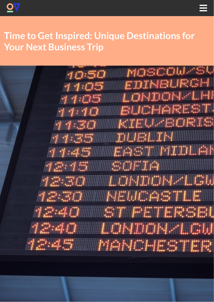



# **Time to Get Inspired: Unique Destinations for Your Next Business Trip**

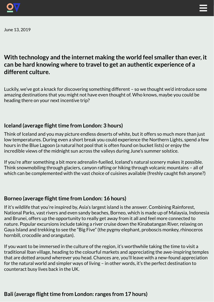



June 13, 2019

## **With technology and the internet making the world feel smaller than ever, it can be hard knowing where to travelto get an authentic experience of a different culture.**

Luckily, we've got a knack for discovering something different – so we thought we'd introduce some amazing destinations that you might not have even thought of. Who knows, maybe you could be heading there on your next incentive trip?

## **iddelland** (average flight time from London: 3 hours)

Think of Iceland and you may picture endless deserts of white, but it offers so much more than just low temperatures. During even a short break you could experience the Northern Lights, spend a few hours in the Blue Lagoon (a natural hot pool that is often found on bucket lists) or enjoy the incredible views of the midnight sun across the valleys during June's summer solstice.

If you're after something a bit more adrenalin-fuelled, Iceland's natural scenery makes it possible. Think snowmobiling through glaciers, canyon rafting or hiking through volcanic mountains – all of which can be complemented with the vast choice of cuisines available (freshly caught fish anyone?)

#### **Borneo** (average flight time from London: 16 hours)

If it's wildlife that you're inspired by, Asia's largest island is the answer. Combining Rainforest, National Parks, vast rivers and even sandy beaches, Borneo, which is made up of Malaysia, Indonesia and Brunei, offers up the opportunity to really get away from it all and feel more connected to nature. Popular excursions include taking a river cruise down the Kinabatangan River, relaxing on Gaya Island and trekking to see the "Big Five" (the pygmy elephant, proboscis monkey, rhinoceros hornbill, crocodile and orangutan).

If you want to be immersed in the culture of the region, it's worthwhile taking the time to visit a traditional Iban village, heading to the colourful markets and appreciating the awe-inspiring temples that are dotted around wherever you head. Chances are, you'll leave with a new-found appreciation for the natural world and simpler ways of living – in other words, it's the perfect destination to counteract busy lives back in the UK.

#### **Bali** (average flight time from London: ranges from 17 hours)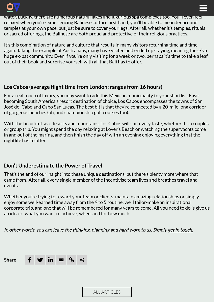

water. Luckily, there are numerous natural lakes and luxurious spa complexes too. You'll even feel relaxed when you're experiencing Balinese culture first hand; you'll be able to meander around temples at your own pace, but just be sure to cover your legs. After all, whether it's temples, rituals or sacred offerings, the Balinese are both proud and protective of their religious practices.

 $\equiv$ 

It's this combination of nature and culture that results in many visitors returning time and time again. Taking the example of Australians, many have visited and ended up staying, meaning there's a huge ex-pat community. Even if you're only visiting for a week or two, perhaps it's time to take a leaf out of their book and surprise yourself with all that Bali has to offer.

## **Los** Cabos (average flight time from London: ranges from 16 hours)

For a real touch of luxury, you may want to add this Mexican municipality to your shortlist. Fastbecoming South America's resort destination of choice, Los Cabos encompasses the towns of San José del Cabo and Cabo San Lucas. The best bit is that they're connected by a 20-mile long corridor of gorgeous beaches (oh, and championship golf courses too).

With the beautiful sea, deserts and mountains, Los Cabos will suit every taste, whether it's a couples or group trip. You might spend the day relaxing at Lover's Beach or watching the superyachts come in and out of the marina, and then finish the day off with an evening enjoying everything that the nightlife has to offer.

## **Don't Underestimate the Power of Travel**

That's the end of our insight into these unique destinations, but there's plenty more where that came from! After all, every single member of the Incentivise team lives and breathes travel and events.

Whether you're trying to reward your team or clients, maintain amazing relationships or simply enjoy some well-earned time away from the 9 to 5 routine, we'll tailor-make an inspirational corporate trip, and one that will be remembered for many years to come. All you need to do is give us an idea of what you want to achieve, when, and for how much.

In other words, you can leave the thinking, planning and hard work to us. Simply get in [touch.](https://test.incentivise.co.uk/contact/)



ALL [ARTICLES](https://incentivise.co.uk/our-thoughts)